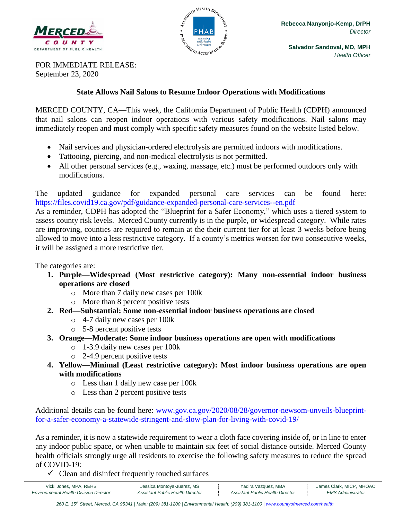



FOR IMMEDIATE RELEASE: September 23, 2020

## **State Allows Nail Salons to Resume Indoor Operations with Modifications**

MERCED COUNTY, CA—This week, the California Department of Public Health (CDPH) announced that nail salons can reopen indoor operations with various safety modifications. Nail salons may immediately reopen and must comply with specific safety measures found on the website listed below.

- Nail services and physician-ordered electrolysis are permitted indoors with modifications.
- Tattooing, piercing, and non-medical electrolysis is not permitted.
- All other personal services (e.g., waxing, massage, etc.) must be performed outdoors only with modifications.

The updated guidance for expanded personal care services can be found here: <https://files.covid19.ca.gov/pdf/guidance-expanded-personal-care-services--en.pdf>

As a reminder, CDPH has adopted the "Blueprint for a Safer Economy," which uses a tiered system to assess county risk levels. Merced County currently is in the purple, or widespread category. While rates are improving, counties are required to remain at the their current tier for at least 3 weeks before being allowed to move into a less restrictive category. If a county's metrics worsen for two consecutive weeks, it will be assigned a more restrictive tier.

The categories are:

- **1. Purple—Widespread (Most restrictive category): Many non-essential indoor business operations are closed** 
	- o More than 7 daily new cases per 100k
	- o More than 8 percent positive tests
- **2. Red—Substantial: Some non-essential indoor business operations are closed** 
	- o 4-7 daily new cases per 100k
	- o 5-8 percent positive tests
- **3. Orange—Moderate: Some indoor business operations are open with modifications** 
	- o 1-3.9 daily new cases per 100k
	- o 2-4.9 percent positive tests
- **4. Yellow—Minimal (Least restrictive category): Most indoor business operations are open with modifications** 
	- o Less than 1 daily new case per 100k
	- o Less than 2 percent positive tests

Additional details can be found here: [www.gov.ca.gov/2020/08/28/governor-newsom-unveils-blueprint](http://www.gov.ca.gov/2020/08/28/governor-newsom-unveils-blueprint-for-a-safer-economy-a-statewide-stringent-and-slow-plan-for-living-with-covid-19/)[for-a-safer-economy-a-statewide-stringent-and-slow-plan-for-living-with-covid-19/](http://www.gov.ca.gov/2020/08/28/governor-newsom-unveils-blueprint-for-a-safer-economy-a-statewide-stringent-and-slow-plan-for-living-with-covid-19/)

As a reminder, it is now a statewide requirement to wear a cloth face covering inside of, or in line to enter any indoor public space, or when unable to maintain six feet of social distance outside. Merced County health officials strongly urge all residents to exercise the following safety measures to reduce the spread of COVID-19:

 $\checkmark$  Clean and disinfect frequently touched surfaces